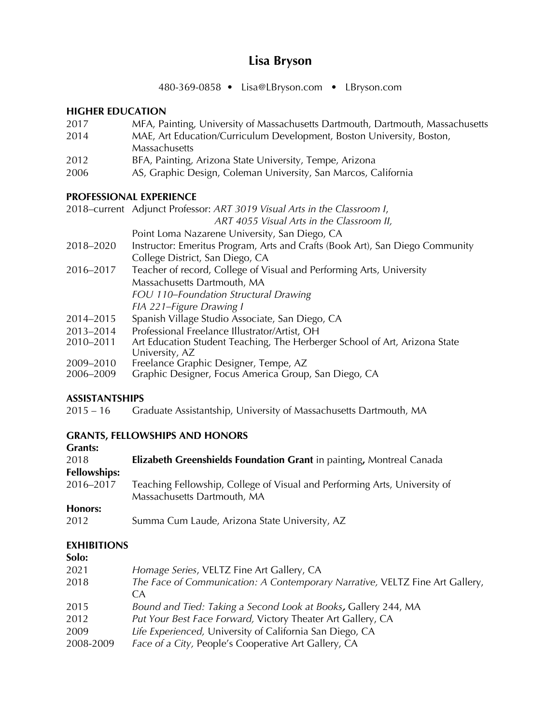# **Lisa Bryson**

480-369-0858 • Lisa@LBryson.com • LBryson.com

### **HIGHER EDUCATION**

- 2017 MFA, Painting, University of Massachusetts Dartmouth, Dartmouth, Massachusetts
- 2014 MAE, Art Education/Curriculum Development, Boston University, Boston, **Massachusetts**
- 2012 BFA, Painting, Arizona State University, Tempe, Arizona
- 2006 AS, Graphic Design, Coleman University, San Marcos, California

### **PROFESSIONAL EXPERIENCE**

2018–current Adjunct Professor: *ART 3019 Visual Arts in the Classroom I*,

*ART 4055 Visual Arts in the Classroom II,*

- Point Loma Nazarene University, San Diego, CA
- 2018–2020 Instructor: Emeritus Program, Arts and Crafts (Book Art), San Diego Community College District, San Diego, CA
- 2016–2017 Teacher of record, College of Visual and Performing Arts, University Massachusetts Dartmouth, MA *FOU 110–Foundation Structural Drawing FIA 221–Figure Drawing I*
- 2014–2015 Spanish Village Studio Associate, San Diego, CA
- 2013–2014 Professional Freelance Illustrator/Artist, OH<br>2010–2011 Art Education Student Teaching, The Herber
- Art Education Student Teaching, The Herberger School of Art, Arizona State University, AZ
- 2009–2010 Freelance Graphic Designer, Tempe, AZ
- Graphic Designer, Focus America Group, San Diego, CA

### **ASSISTANTSHIPS**

2015 – 16 Graduate Assistantship, University of Massachusetts Dartmouth, MA

### **GRANTS, FELLOWSHIPS AND HONORS**

| Grants: |  |
|---------|--|
|---------|--|

| 2018<br><b>Fellowships:</b> | <b>Elizabeth Greenshields Foundation Grant</b> in painting, Montreal Canada                              |
|-----------------------------|----------------------------------------------------------------------------------------------------------|
| 2016-2017                   | Teaching Fellowship, College of Visual and Performing Arts, University of<br>Massachusetts Dartmouth, MA |
| Honors:                     |                                                                                                          |
| 2012                        | Summa Cum Laude, Arizona State University, AZ                                                            |

#### **EXHIBITIONS**

| Solo:     |                                                                                                |
|-----------|------------------------------------------------------------------------------------------------|
| 2021      | Homage Series, VELTZ Fine Art Gallery, CA                                                      |
| 2018      | The Face of Communication: A Contemporary Narrative, VELTZ Fine Art Gallery,<br>CA <sup></sup> |
| 2015      | Bound and Tied: Taking a Second Look at Books, Gallery 244, MA                                 |
| 2012      | Put Your Best Face Forward, Victory Theater Art Gallery, CA                                    |
| 2009      | Life Experienced, University of California San Diego, CA                                       |
| 2008-2009 | Face of a City, People's Cooperative Art Gallery, CA                                           |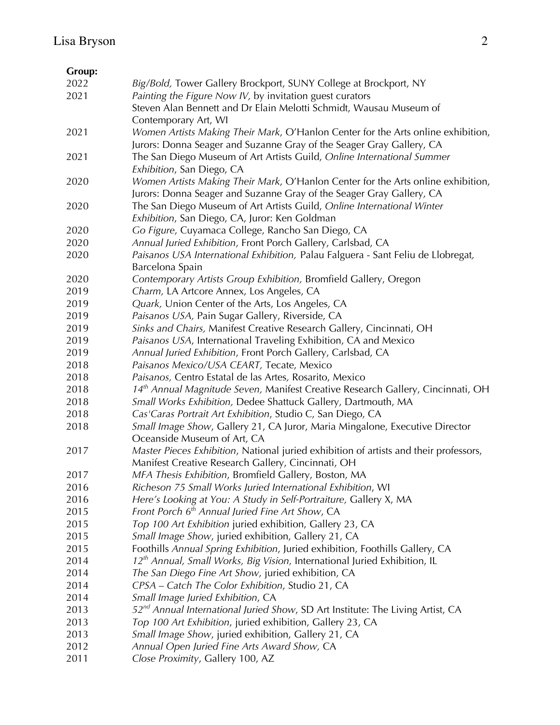## **Group:**

| 2022 | Big/Bold, Tower Gallery Brockport, SUNY College at Brockport, NY                           |  |
|------|--------------------------------------------------------------------------------------------|--|
| 2021 | Painting the Figure Now IV, by invitation guest curators                                   |  |
|      | Steven Alan Bennett and Dr Elain Melotti Schmidt, Wausau Museum of                         |  |
|      | Contemporary Art, WI                                                                       |  |
| 2021 | Women Artists Making Their Mark, O'Hanlon Center for the Arts online exhibition,           |  |
|      | Jurors: Donna Seager and Suzanne Gray of the Seager Gray Gallery, CA                       |  |
| 2021 | The San Diego Museum of Art Artists Guild, Online International Summer                     |  |
|      | Exhibition, San Diego, CA                                                                  |  |
| 2020 | Women Artists Making Their Mark, O'Hanlon Center for the Arts online exhibition,           |  |
|      | Jurors: Donna Seager and Suzanne Gray of the Seager Gray Gallery, CA                       |  |
|      |                                                                                            |  |
| 2020 | The San Diego Museum of Art Artists Guild, Online International Winter                     |  |
|      | Exhibition, San Diego, CA, Juror: Ken Goldman                                              |  |
| 2020 | Go Figure, Cuyamaca College, Rancho San Diego, CA                                          |  |
| 2020 | Annual Juried Exhibition, Front Porch Gallery, Carlsbad, CA                                |  |
| 2020 | Paisanos USA International Exhibition, Palau Falguera - Sant Feliu de Llobregat,           |  |
|      | Barcelona Spain                                                                            |  |
| 2020 | Contemporary Artists Group Exhibition, Bromfield Gallery, Oregon                           |  |
| 2019 | Charm, LA Artcore Annex, Los Angeles, CA                                                   |  |
| 2019 | Quark, Union Center of the Arts, Los Angeles, CA                                           |  |
| 2019 | Paisanos USA, Pain Sugar Gallery, Riverside, CA                                            |  |
| 2019 | Sinks and Chairs, Manifest Creative Research Gallery, Cincinnati, OH                       |  |
| 2019 | Paisanos USA, International Traveling Exhibition, CA and Mexico                            |  |
| 2019 | Annual Juried Exhibition, Front Porch Gallery, Carlsbad, CA                                |  |
| 2018 | Paisanos Mexico/USA CEART, Tecate, Mexico                                                  |  |
| 2018 | Paisanos, Centro Estatal de las Artes, Rosarito, Mexico                                    |  |
| 2018 | 14th Annual Magnitude Seven, Manifest Creative Research Gallery, Cincinnati, OH            |  |
| 2018 | Small Works Exhibition, Dedee Shattuck Gallery, Dartmouth, MA                              |  |
| 2018 | Cas'Caras Portrait Art Exhibition, Studio C, San Diego, CA                                 |  |
| 2018 | Small Image Show, Gallery 21, CA Juror, Maria Mingalone, Executive Director                |  |
|      | Oceanside Museum of Art, CA                                                                |  |
| 2017 | Master Pieces Exhibition, National juried exhibition of artists and their professors,      |  |
|      | Manifest Creative Research Gallery, Cincinnati, OH                                         |  |
| 2017 | MFA Thesis Exhibition, Bromfield Gallery, Boston, MA                                       |  |
| 2016 | Richeson 75 Small Works Juried International Exhibition, WI                                |  |
| 2016 | Here's Looking at You: A Study in Self-Portraiture, Gallery X, MA                          |  |
| 2015 | Front Porch 6 <sup>th</sup> Annual Juried Fine Art Show, CA                                |  |
| 2015 | Top 100 Art Exhibition juried exhibition, Gallery 23, CA                                   |  |
| 2015 | Small Image Show, juried exhibition, Gallery 21, CA                                        |  |
| 2015 | Foothills Annual Spring Exhibition, Juried exhibition, Foothills Gallery, CA               |  |
| 2014 | 12 <sup>th</sup> Annual, Small Works, Big Vision, International Juried Exhibition, IL      |  |
| 2014 | The San Diego Fine Art Show, juried exhibition, CA                                         |  |
|      |                                                                                            |  |
| 2014 | CPSA - Catch The Color Exhibition, Studio 21, CA                                           |  |
| 2014 | Small Image Juried Exhibition, CA                                                          |  |
| 2013 | 52 <sup>nd</sup> Annual International Juried Show, SD Art Institute: The Living Artist, CA |  |
| 2013 | Top 100 Art Exhibition, juried exhibition, Gallery 23, CA                                  |  |
| 2013 | Small Image Show, juried exhibition, Gallery 21, CA                                        |  |
| 2012 | Annual Open Juried Fine Arts Award Show, CA                                                |  |
| 2011 | Close Proximity, Gallery 100, AZ                                                           |  |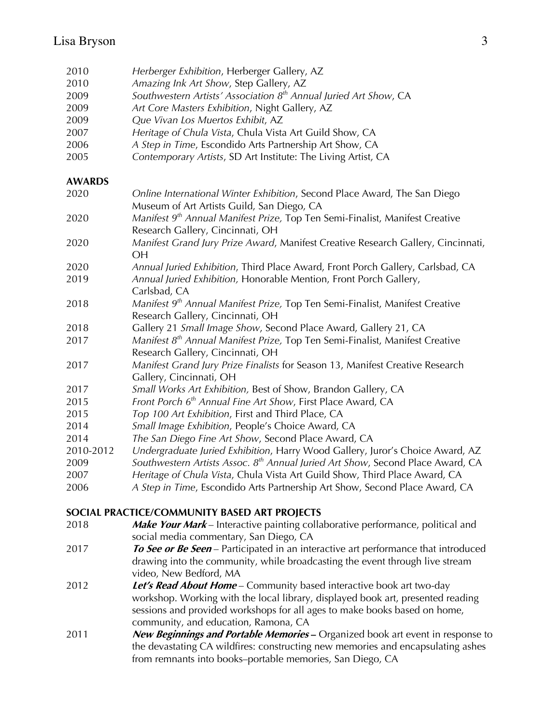| 2010          | Herberger Exhibition, Herberger Gallery, AZ                                                                                    |
|---------------|--------------------------------------------------------------------------------------------------------------------------------|
| 2010          | Amazing Ink Art Show, Step Gallery, AZ                                                                                         |
| 2009          | Southwestern Artists' Association 8 <sup>th</sup> Annual Juried Art Show, CA                                                   |
| 2009          | Art Core Masters Exhibition, Night Gallery, AZ                                                                                 |
| 2009          | Que Vivan Los Muertos Exhibit, AZ                                                                                              |
| 2007          | Heritage of Chula Vista, Chula Vista Art Guild Show, CA                                                                        |
| 2006          | A Step in Time, Escondido Arts Partnership Art Show, CA                                                                        |
| 2005          | Contemporary Artists, SD Art Institute: The Living Artist, CA                                                                  |
| <b>AWARDS</b> |                                                                                                                                |
| 2020          | Online International Winter Exhibition, Second Place Award, The San Diego<br>Museum of Art Artists Guild, San Diego, CA        |
| 2020          | Manifest 9 <sup>th</sup> Annual Manifest Prize, Top Ten Semi-Finalist, Manifest Creative<br>Research Gallery, Cincinnati, OH   |
| 2020          | Manifest Grand Jury Prize Award, Manifest Creative Research Gallery, Cincinnati,<br><b>OH</b>                                  |
| 2020          | Annual Juried Exhibition, Third Place Award, Front Porch Gallery, Carlsbad, CA                                                 |
| 2019          | Annual Juried Exhibition, Honorable Mention, Front Porch Gallery,<br>Carlsbad, CA                                              |
| 2018          | Manifest 9 <sup>th</sup> Annual Manifest Prize, Top Ten Semi-Finalist, Manifest Creative<br>Research Gallery, Cincinnati, OH   |
| 2018          | Gallery 21 Small Image Show, Second Place Award, Gallery 21, CA                                                                |
| 2017          | Manifest $8th$ Annual Manifest Prize, Top Ten Semi-Finalist, Manifest Creative<br>Research Gallery, Cincinnati, OH             |
| 2017          | Manifest Grand Jury Prize Finalists for Season 13, Manifest Creative Research<br>Gallery, Cincinnati, OH                       |
| 2017          | Small Works Art Exhibition, Best of Show, Brandon Gallery, CA                                                                  |
| 2015          | Front Porch 6 <sup>th</sup> Annual Fine Art Show, First Place Award, CA                                                        |
| 2015          | Top 100 Art Exhibition, First and Third Place, CA                                                                              |
| 2014          | Small Image Exhibition, People's Choice Award, CA                                                                              |
| 2014          | The San Diego Fine Art Show, Second Place Award, CA                                                                            |
| 2010-2012     | Undergraduate Juried Exhibition, Harry Wood Gallery, Juror's Choice Award, AZ                                                  |
| 2009          | Southwestern Artists Assoc. 8 <sup>th</sup> Annual Juried Art Show, Second Place Award, CA                                     |
| 2007          | Heritage of Chula Vista, Chula Vista Art Guild Show, Third Place Award, CA                                                     |
| 2006          | A Step in Time, Escondido Arts Partnership Art Show, Second Place Award, CA                                                    |
|               | SOCIAL PRACTICE/COMMUNITY BASED ART PROJECTS                                                                                   |
|               | $\mathbf{A}$ and $\mathbf{A}$ and $\mathbf{A}$ and $\mathbf{A}$ and $\mathbf{A}$<br>$\mathbf{1}$ , $\mathbf{1}$ , $\mathbf{1}$ |

- **Make Your Mark**  Interactive painting collaborative performance, political and social media commentary, San Diego, CA
- **To See or Be Seen**  Participated in an interactive art performance that introduced drawing into the community, while broadcasting the event through live stream video, New Bedford, MA
- **Let's Read About Home**  Community based interactive book art two-day workshop. Working with the local library, displayed book art, presented reading sessions and provided workshops for all ages to make books based on home, community, and education, Ramona, CA
- **New Beginnings and Portable Memories –** Organized book art event in response to the devastating CA wildfires: constructing new memories and encapsulating ashes from remnants into books–portable memories, San Diego, CA